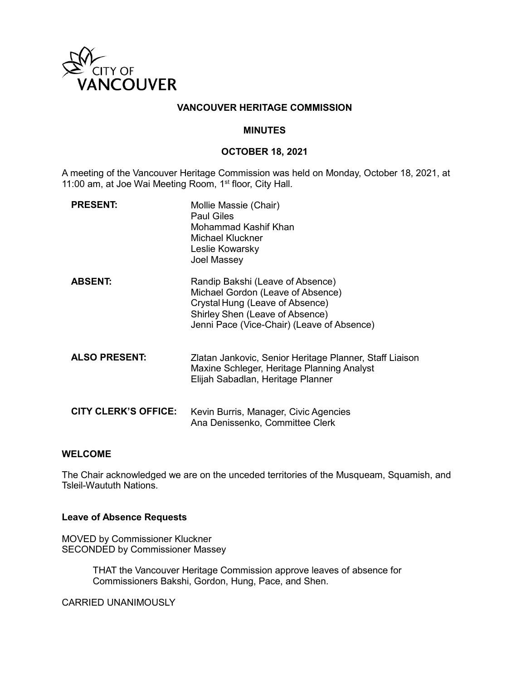

## **VANCOUVER HERITAGE COMMISSION**

#### **MINUTES**

### **OCTOBER 18, 2021**

A meeting of the Vancouver Heritage Commission was held on Monday, October 18, 2021, at 11:00 am, at Joe Wai Meeting Room, 1<sup>st</sup> floor, City Hall.

| <b>PRESENT:</b>             | Mollie Massie (Chair)<br><b>Paul Giles</b><br>Mohammad Kashif Khan<br><b>Michael Kluckner</b><br>Leslie Kowarsky<br>Joel Massey                                                           |
|-----------------------------|-------------------------------------------------------------------------------------------------------------------------------------------------------------------------------------------|
| <b>ABSENT:</b>              | Randip Bakshi (Leave of Absence)<br>Michael Gordon (Leave of Absence)<br>Crystal Hung (Leave of Absence)<br>Shirley Shen (Leave of Absence)<br>Jenni Pace (Vice-Chair) (Leave of Absence) |
| <b>ALSO PRESENT:</b>        | Zlatan Jankovic, Senior Heritage Planner, Staff Liaison<br>Maxine Schleger, Heritage Planning Analyst<br>Elijah Sabadlan, Heritage Planner                                                |
| <b>CITY CLERK'S OFFICE:</b> | Kevin Burris, Manager, Civic Agencies<br>Ana Denissenko, Committee Clerk                                                                                                                  |

### **WELCOME**

The Chair acknowledged we are on the unceded territories of the Musqueam, Squamish, and Tsleil-Waututh Nations.

#### **Leave of Absence Requests**

MOVED by Commissioner Kluckner SECONDED by Commissioner Massey

> THAT the Vancouver Heritage Commission approve leaves of absence for Commissioners Bakshi, Gordon, Hung, Pace, and Shen.

CARRIED UNANIMOUSLY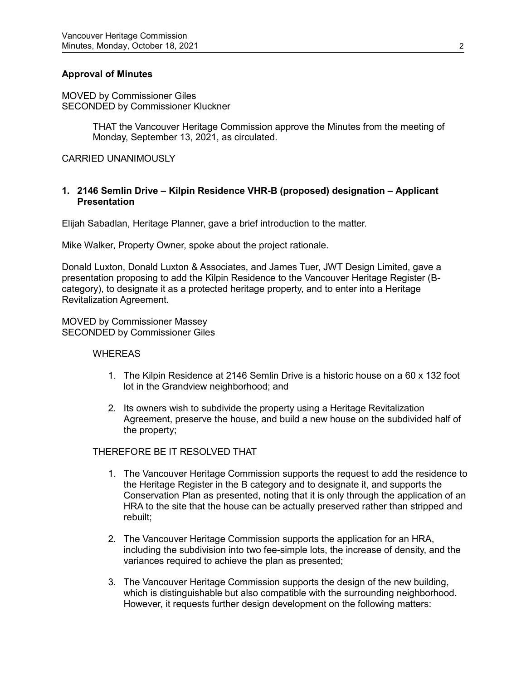## **Approval of Minutes**

MOVED by Commissioner Giles SECONDED by Commissioner Kluckner

> THAT the Vancouver Heritage Commission approve the Minutes from the meeting of Monday, September 13, 2021, as circulated.

CARRIED UNANIMOUSLY

### **1. 2146 Semlin Drive – Kilpin Residence VHR-B (proposed) designation – Applicant Presentation**

Elijah Sabadlan, Heritage Planner, gave a brief introduction to the matter.

Mike Walker, Property Owner, spoke about the project rationale.

Donald Luxton, Donald Luxton & Associates, and James Tuer, JWT Design Limited, gave a presentation proposing to add the Kilpin Residence to the Vancouver Heritage Register (Bcategory), to designate it as a protected heritage property, and to enter into a Heritage Revitalization Agreement.

MOVED by Commissioner Massey SECONDED by Commissioner Giles

#### **WHEREAS**

- 1. The Kilpin Residence at 2146 Semlin Drive is a historic house on a 60 x 132 foot lot in the Grandview neighborhood; and
- 2. Its owners wish to subdivide the property using a Heritage Revitalization Agreement, preserve the house, and build a new house on the subdivided half of the property;

### THEREFORE BE IT RESOLVED THAT

- 1. The Vancouver Heritage Commission supports the request to add the residence to the Heritage Register in the B category and to designate it, and supports the Conservation Plan as presented, noting that it is only through the application of an HRA to the site that the house can be actually preserved rather than stripped and rebuilt;
- 2. The Vancouver Heritage Commission supports the application for an HRA, including the subdivision into two fee-simple lots, the increase of density, and the variances required to achieve the plan as presented;
- 3. The Vancouver Heritage Commission supports the design of the new building, which is distinguishable but also compatible with the surrounding neighborhood. However, it requests further design development on the following matters: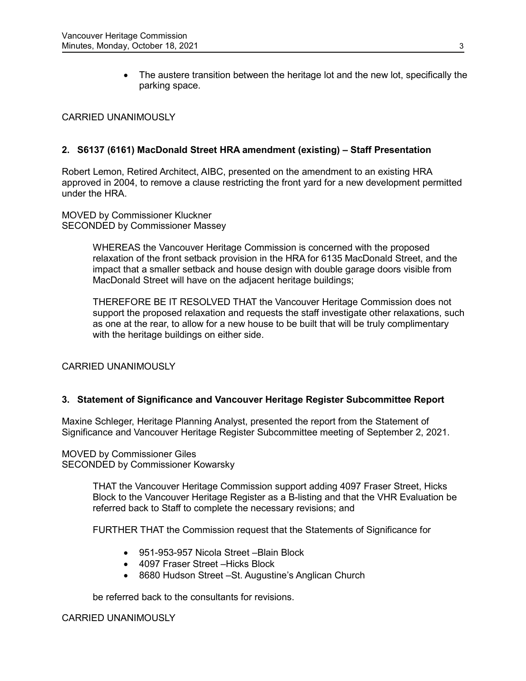• The austere transition between the heritage lot and the new lot, specifically the parking space.

# CARRIED UNANIMOUSLY

# **2. S6137 (6161) MacDonald Street HRA amendment (existing) – Staff Presentation**

Robert Lemon, Retired Architect, AIBC, presented on the amendment to an existing HRA approved in 2004, to remove a clause restricting the front yard for a new development permitted under the HRA.

MOVED by Commissioner Kluckner SECONDED by Commissioner Massey

> WHEREAS the Vancouver Heritage Commission is concerned with the proposed relaxation of the front setback provision in the HRA for 6135 MacDonald Street, and the impact that a smaller setback and house design with double garage doors visible from MacDonald Street will have on the adjacent heritage buildings;

THEREFORE BE IT RESOLVED THAT the Vancouver Heritage Commission does not support the proposed relaxation and requests the staff investigate other relaxations, such as one at the rear, to allow for a new house to be built that will be truly complimentary with the heritage buildings on either side.

CARRIED UNANIMOUSLY

## **3. Statement of Significance and Vancouver Heritage Register Subcommittee Report**

Maxine Schleger, Heritage Planning Analyst, presented the report from the Statement of Significance and Vancouver Heritage Register Subcommittee meeting of September 2, 2021.

MOVED by Commissioner Giles SECONDED by Commissioner Kowarsky

> THAT the Vancouver Heritage Commission support adding 4097 Fraser Street, Hicks Block to the Vancouver Heritage Register as a B-listing and that the VHR Evaluation be referred back to Staff to complete the necessary revisions; and

FURTHER THAT the Commission request that the Statements of Significance for

- 951-953-957 Nicola Street –Blain Block
- 4097 Fraser Street –Hicks Block
- 8680 Hudson Street –St. Augustine's Anglican Church

be referred back to the consultants for revisions.

CARRIED UNANIMOUSLY